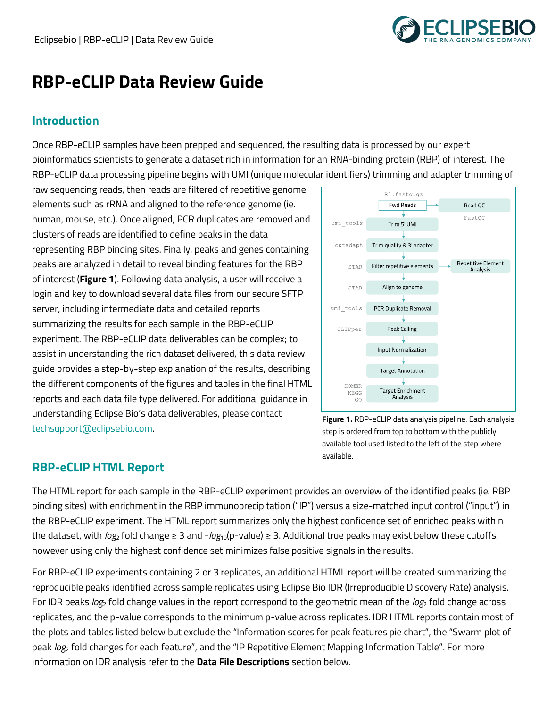

# **RBP-eCLIP Data Review Guide**

# **Introduction**

Once RBP-eCLIP samples have been prepped and sequenced, the resulting data is processed by our expert bioinformatics scientists to generate a dataset rich in information for an RNA-binding protein (RBP) of interest. The RBP-eCLIP data processing pipeline begins with UMI (unique molecular identifiers) trimming and adapter trimming of

raw sequencing reads, then reads are filtered of repetitive genome elements such as rRNA and aligned to the reference genome (ie. human, mouse, etc.). Once aligned, PCR duplicates are removed and clusters of reads are identified to define peaks in the data representing RBP binding sites. Finally, peaks and genes containing peaks are analyzed in detail to reveal binding features for the RBP of interest (**Figure 1**). Following data analysis, a user will receive a login and key to download several data files from our secure SFTP server, including intermediate data and detailed reports summarizing the results for each sample in the RBP-eCLIP experiment. The RBP-eCLIP data deliverables can be complex; to assist in understanding the rich dataset delivered, this data review guide provides a step-by-step explanation of the results, describing the different components of the figures and tables in the final HTML reports and each data file type delivered. For additional guidance in understanding Eclipse Bio's data deliverables, please contact techsupport@eclipsebio.com.



**Figure 1.** RBP-eCLIP data analysis pipeline. Each analysis step is ordered from top to bottom with the publicly available tool used listed to the left of the step where available.

# **RBP-eCLIP HTML Report**

The HTML report for each sample in the RBP-eCLIP experiment provides an overview of the identified peaks (ie. RBP binding sites) with enrichment in the RBP immunoprecipitation ("IP") versus a size-matched input control ("input") in the RBP-eCLIP experiment. The HTML report summarizes only the highest confidence set of enriched peaks within the dataset, with *log*<sup>2</sup> fold change ≥ 3 and -*log*10(p-value) ≥ 3. Additional true peaks may exist below these cutoffs, however using only the highest confidence set minimizes false positive signals in the results.

For RBP-eCLIP experiments containing 2 or 3 replicates, an additional HTML report will be created summarizing the reproducible peaks identified across sample replicates using Eclipse Bio IDR (Irreproducible Discovery Rate) analysis. For IDR peaks *log*<sup>2</sup> fold change values in the report correspond to the geometric mean of the *log*<sup>2</sup> fold change across replicates, and the p-value corresponds to the minimum p-value across replicates. IDR HTML reports contain most of the plots and tables listed below but exclude the "Information scores for peak features pie chart", the "Swarm plot of peak *log*<sup>2</sup> fold changes for each feature", and the "IP Repetitive Element Mapping Information Table". For more information on IDR analysis refer to the **Data File Descriptions** section below.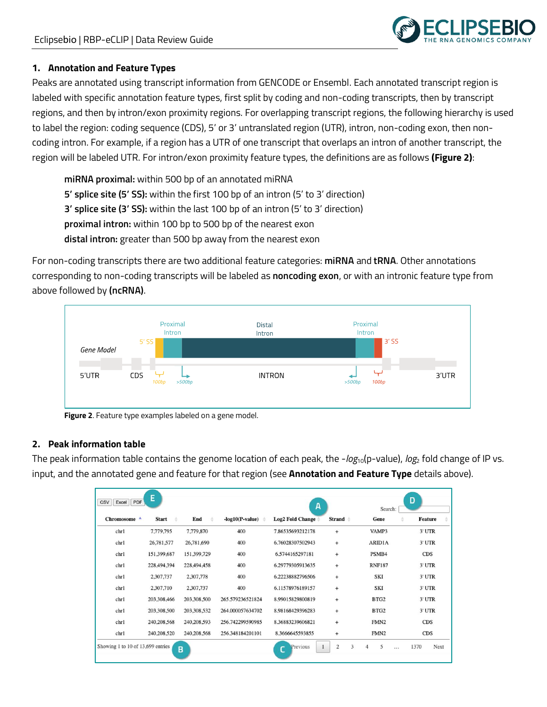

#### **1. Annotation and Feature Types**

Peaks are annotated using transcript information from GENCODE or Ensembl. Each annotated transcript region is labeled with specific annotation feature types, first split by coding and non-coding transcripts, then by transcript regions, and then by intron/exon proximity regions. For overlapping transcript regions, the following hierarchy is used to label the region: coding sequence (CDS), 5' or 3' untranslated region (UTR), intron, non-coding exon, then noncoding intron. For example, if a region has a UTR of one transcript that overlaps an intron of another transcript, the region will be labeled UTR. For intron/exon proximity feature types, the definitions are as follows **(Figure 2)**:

**miRNA proximal:** within 500 bp of an annotated miRNA **5' splice site (5' SS):** within the first 100 bp of an intron (5' to 3' direction) **3' splice site (3' SS):** within the last 100 bp of an intron (5' to 3' direction) **proximal intron:** within 100 bp to 500 bp of the nearest exon **distal intron:** greater than 500 bp away from the nearest exon

For non-coding transcripts there are two additional feature categories: **miRNA** and **tRNA**. Other annotations corresponding to non-coding transcripts will be labeled as **noncoding exon**, or with an intronic feature type from above followed by **(ncRNA)**.



**Figure 2**. Feature type examples labeled on a gene model.

#### **2. Peak information table**

The peak information table contains the genome location of each peak, the -*log*<sub>10</sub>(p-value), *log*<sub>2</sub> fold change of IP vs. input, and the annotated gene and feature for that region (see **Annotation and Feature Type** details above).

| PDF<br><b>CSV</b><br>Excel        | E                 |             |                        | A                       |           | Search:          | D              |
|-----------------------------------|-------------------|-------------|------------------------|-------------------------|-----------|------------------|----------------|
| Chromosome <sup>4</sup>           | <b>Start</b><br>÷ | End<br>ă    | $-log10(P-value)$<br>÷ | <b>Log2 Fold Change</b> | Strand #  | Gene             | <b>Feature</b> |
| chrl                              | 7,779,795         | 7,779,870   | 400                    | 7.86535693212178        | $^{+}$    | VAMP3            | 3' UTR         |
| chrl                              | 26,781,577        | 26,781,690  | 400                    | 6.76028307502943        | $^{+}$    | <b>ARIDIA</b>    | 3' UTR         |
| chr1                              | 151,399,687       | 151,399,729 | 400                    | 6.5744165297181         | $\ddot{}$ | PSMB4            | <b>CDS</b>     |
| chr1                              | 228,494,394       | 228,494,458 | 400                    | 6.29779305913635        | $^{+}$    | <b>RNF187</b>    | 3' UTR         |
| chr1                              | 2,307,737         | 2,307,778   | 400                    | 6.22238882796506        | $^{+}$    | <b>SKI</b>       | 3' UTR         |
| chr1                              | 2,307,710         | 2,307,737   | 400                    | 6.11578976189157        | $^{+}$    | <b>SKI</b>       | 3' UTR         |
| chr1                              | 203,308,466       | 203,308,500 | 265.579236521824       | 8.99015829800819        | $\ddot{}$ | BTG <sub>2</sub> | 3' UTR         |
| chr1                              | 203,308,500       | 203,308,532 | 264.000057634702       | 8.98168429396283        | $\ddot{}$ | BTG <sub>2</sub> | 3' UTR         |
| chr1                              | 240,208,568       | 240,208,593 | 256.742299590985       | 8.36883239606821        | $^{+}$    | FMN <sub>2</sub> | <b>CDS</b>     |
| chr1                              | 240,208,520       | 240,208,568 | 256.348184201101       | 8.3666645593855         | $^{+}$    | FMN <sub>2</sub> | <b>CDS</b>     |
| Showing 1 to 10 of 13,699 entries |                   | B           |                        | Previous<br>c           | 2<br>3    | 5<br>4<br>$\sim$ | 1370<br>Next   |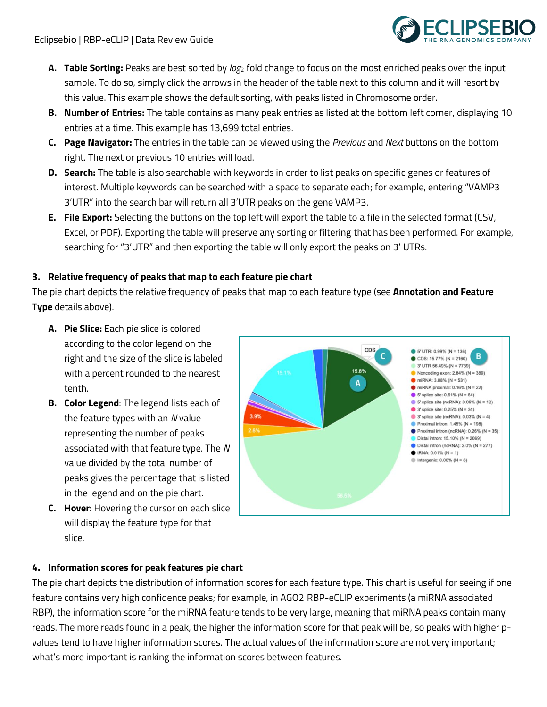

- **A. Table Sorting:** Peaks are best sorted by *log*<sup>2</sup> fold change to focus on the most enriched peaks over the input sample. To do so, simply click the arrows in the header of the table next to this column and it will resort by this value. This example shows the default sorting, with peaks listed in Chromosome order.
- **B. Number of Entries:** The table contains as many peak entries as listed at the bottom left corner, displaying 10 entries at a time. This example has 13,699 total entries.
- **C. Page Navigator:** The entries in the table can be viewed using the *Previous* and *Next* buttons on the bottom right. The next or previous 10 entries will load.
- **D. Search:** The table is also searchable with keywords in order to list peaks on specific genes or features of interest. Multiple keywords can be searched with a space to separate each; for example, entering "VAMP3 3'UTR" into the search bar will return all 3'UTR peaks on the gene VAMP3.
- **E. File Export:** Selecting the buttons on the top left will export the table to a file in the selected format (CSV, Excel, or PDF). Exporting the table will preserve any sorting or filtering that has been performed. For example, searching for "3'UTR" and then exporting the table will only export the peaks on 3' UTRs.

# **3. Relative frequency of peaks that map to each feature pie chart**

The pie chart depicts the relative frequency of peaks that map to each feature type (see **Annotation and Feature Type** details above).

- **A. Pie Slice:** Each pie slice is colored according to the color legend on the right and the size of the slice is labeled with a percent rounded to the nearest tenth.
- **B. Color Legend**: The legend lists each of the feature types with an *N* value representing the number of peaks associated with that feature type. The *N* value divided by the total number of peaks gives the percentage that is listed in the legend and on the pie chart.
- **C. Hover**: Hovering the cursor on each slice will display the feature type for that slice.



# **4. Information scores for peak features pie chart**

The pie chart depicts the distribution of information scores for each feature type. This chart is useful for seeing if one feature contains very high confidence peaks; for example, in AGO2 RBP-eCLIP experiments (a miRNA associated RBP), the information score for the miRNA feature tends to be very large, meaning that miRNA peaks contain many reads. The more reads found in a peak, the higher the information score for that peak will be, so peaks with higher pvalues tend to have higher information scores. The actual values of the information score are not very important; what's more important is ranking the information scores between features.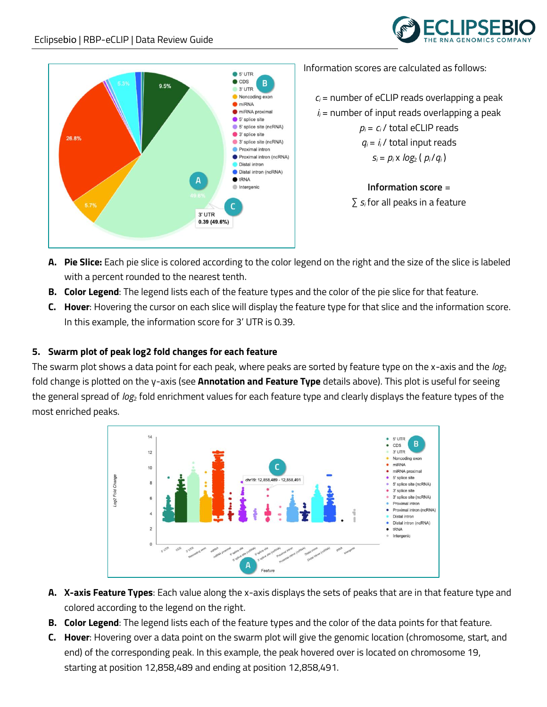



Information scores are calculated as follows:

 $c_i$  = number of eCLIP reads overlapping a peak  $i<sub>i</sub>$  = number of input reads overlapping a peak  $p_i = c_i$  / total eCLIP reads  $q_i = i_i / \text{total input reads}$  $s_i = p_i \times log_2(p_i/q_i)$ 

> **Information score** = ∑ *s<sup>i</sup>* for all peaks in a feature

- **A. Pie Slice:** Each pie slice is colored according to the color legend on the right and the size of the slice is labeled with a percent rounded to the nearest tenth.
- **B. Color Legend**: The legend lists each of the feature types and the color of the pie slice for that feature.
- **C. Hover**: Hovering the cursor on each slice will display the feature type for that slice and the information score. In this example, the information score for 3' UTR is 0.39.

# **5. Swarm plot of peak log2 fold changes for each feature**

The swarm plot shows a data point for each peak, where peaks are sorted by feature type on the x-axis and the *log*<sup>2</sup> fold change is plotted on the y-axis (see **Annotation and Feature Type** details above). This plot is useful for seeing the general spread of *log*<sup>2</sup> fold enrichment values for each feature type and clearly displays the feature types of the most enriched peaks.



- **A. X-axis Feature Types**: Each value along the x-axis displays the sets of peaks that are in that feature type and colored according to the legend on the right.
- **B. Color Legend**: The legend lists each of the feature types and the color of the data points for that feature.
- **C. Hover**: Hovering over a data point on the swarm plot will give the genomic location (chromosome, start, and end) of the corresponding peak. In this example, the peak hovered over is located on chromosome 19, starting at position 12,858,489 and ending at position 12,858,491.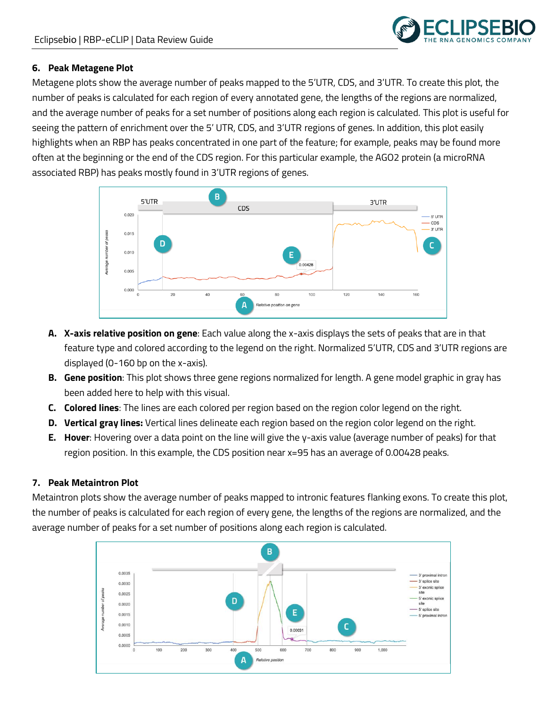

#### **6. Peak Metagene Plot**

Metagene plots show the average number of peaks mapped to the 5'UTR, CDS, and 3'UTR. To create this plot, the number of peaks is calculated for each region of every annotated gene, the lengths of the regions are normalized, and the average number of peaks for a set number of positions along each region is calculated. This plot is useful for seeing the pattern of enrichment over the 5' UTR, CDS, and 3'UTR regions of genes. In addition, this plot easily highlights when an RBP has peaks concentrated in one part of the feature; for example, peaks may be found more often at the beginning or the end of the CDS region. For this particular example, the AGO2 protein (a microRNA associated RBP) has peaks mostly found in 3'UTR regions of genes.



- **A. X-axis relative position on gene**: Each value along the x-axis displays the sets of peaks that are in that feature type and colored according to the legend on the right. Normalized 5'UTR, CDS and 3'UTR regions are displayed (0-160 bp on the x-axis).
- **B. Gene position**: This plot shows three gene regions normalized for length. A gene model graphic in gray has been added here to help with this visual.
- **C. Colored lines**: The lines are each colored per region based on the region color legend on the right.
- **D. Vertical gray lines:** Vertical lines delineate each region based on the region color legend on the right.
- **E. Hover**: Hovering over a data point on the line will give the y-axis value (average number of peaks) for that region position. In this example, the CDS position near x=95 has an average of 0.00428 peaks.

#### **7. Peak Metaintron Plot**

Metaintron plots show the average number of peaks mapped to intronic features flanking exons. To create this plot, the number of peaks is calculated for each region of every gene, the lengths of the regions are normalized, and the average number of peaks for a set number of positions along each region is calculated.

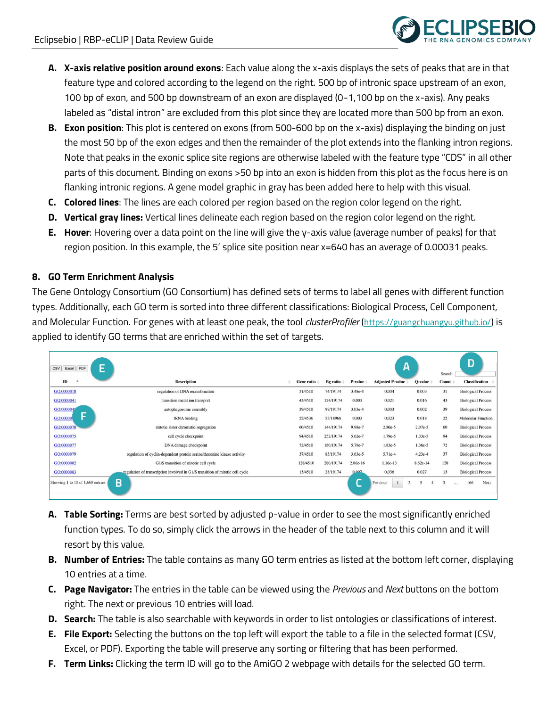

- **A. X-axis relative position around exons**: Each value along the x-axis displays the sets of peaks that are in that feature type and colored according to the legend on the right. 500 bp of intronic space upstream of an exon, 100 bp of exon, and 500 bp downstream of an exon are displayed (0-1,100 bp on the x-axis). Any peaks labeled as "distal intron" are excluded from this plot since they are located more than 500 bp from an exon.
- **B. Exon position**: This plot is centered on exons (from 500-600 bp on the x-axis) displaying the binding on just the most 50 bp of the exon edges and then the remainder of the plot extends into the flanking intron regions. Note that peaks in the exonic splice site regions are otherwise labeled with the feature type "CDS" in all other parts of this document. Binding on exons >50 bp into an exon is hidden from this plot as the focus here is on flanking intronic regions. A gene model graphic in gray has been added here to help with this visual.
- **C. Colored lines**: The lines are each colored per region based on the region color legend on the right.
- **D. Vertical gray lines:** Vertical lines delineate each region based on the region color legend on the right.
- **E. Hover**: Hovering over a data point on the line will give the y-axis value (average number of peaks) for that region position. In this example, the 5' splice site position near x=640 has an average of 0.00031 peaks.

#### **8. GO Term Enrichment Analysis**

The Gene Ontology Consortium (GO Consortium) has defined sets of terms to label all genes with different function types. Additionally, each GO term is sorted into three different classifications: Biological Process, Cell Component, and Molecular Function. For genes with at least one peak, the tool *clusterProfiler* (<https://guangchuangyu.github.io/>) is applied to identify GO terms that are enriched within the set of targets.

| E<br>PDF<br>CSV<br>Excel         |                                                                               |                   |           |           | А                          |           | Search: | D                         |
|----------------------------------|-------------------------------------------------------------------------------|-------------------|-----------|-----------|----------------------------|-----------|---------|---------------------------|
| ID                               | <b>Description</b>                                                            | <b>Gene ratio</b> | Bg ratio  | P-value   | <b>Adjusted P-value</b>    | Q-value   | Count   | <b>Classification</b>     |
| GO:0000018                       | regulation of DNA recombination                                               | 31/4510           | 74/19174  | 3.48e-4   | 0.004                      | 0.003     | 31      | <b>Biological Process</b> |
| GO:0000041                       | transition metal ion transport                                                | 43/4510           | 124/19174 | 0.003     | 0.021                      | 0.016     | 43      | <b>Biological Process</b> |
| GO:0000045                       | autophagosome assembly                                                        | 39/4510           | 99/19174  | 3.03e-4   | 0.003                      | 0.002     | 39      | <b>Biological Process</b> |
| ь<br>GO:00000                    | tRNA binding                                                                  | 22/4536           | 53/18968  | 0.003     | 0.023                      | 0.018     | 22      | <b>Molecular Function</b> |
| GO:0000070                       | mitotic sister chromatid segregation                                          | 60/4510           | 144/19174 | 9.98e-7   | 2.80e-5                    | $2.07e-5$ | 60      | <b>Biological Process</b> |
| GO:0000075                       | cell cycle checkpoint                                                         | 94/4510           | 252/19174 | 5.62e-7   | 1.79e-5                    | $1.33e-5$ | 94      | <b>Biological Process</b> |
| GO:0000077                       | DNA damage checkpoint                                                         | 72/4510           | 180/19174 | 5.79e-7   | 1.83e-5                    | 1.36e-5   | 72      | <b>Biological Process</b> |
| GO:0000079                       | regulation of cyclin-dependent protein serine/threonine kinase activity       | 37/4510           | 85/19174  | $3.63e-5$ | 5.71e-4                    | $4.23e-4$ | 37      | <b>Biological Process</b> |
| GO:0000082                       | G1/S transition of mitotic cell cycle                                         | 128/4510          | 280/19174 | 2.06e-16  | 1.16e-13                   | 8.62e-14  | 128     | <b>Biological Process</b> |
| GO:0000083                       | regulation of transcription involved in G1/S transition of mitotic cell cycle | 13/4510           | 28/19174  | 0.007     | 0.036                      | 0.027     | 13      | <b>Biological Process</b> |
| Showing 1 to 10 of 1,660 entries | в                                                                             |                   |           |           | $\overline{c}$<br>Previous |           |         | 166<br>Next<br>44.61      |

- **A. Table Sorting:** Terms are best sorted by adjusted p-value in order to see the most significantly enriched function types. To do so, simply click the arrows in the header of the table next to this column and it will resort by this value.
- **B. Number of Entries:** The table contains as many GO term entries as listed at the bottom left corner, displaying 10 entries at a time.
- **C. Page Navigator:** The entries in the table can be viewed using the *Previous* and *Next* buttons on the bottom right. The next or previous 10 entries will load.
- **D. Search:** The table is also searchable with keywords in order to list ontologies or classifications of interest.
- **E. File Export:** Selecting the buttons on the top left will export the table to a file in the selected format (CSV, Excel, or PDF). Exporting the table will preserve any sorting or filtering that has been performed.
- **F. Term Links:** Clicking the term ID will go to the AmiGO 2 webpage with details for the selected GO term.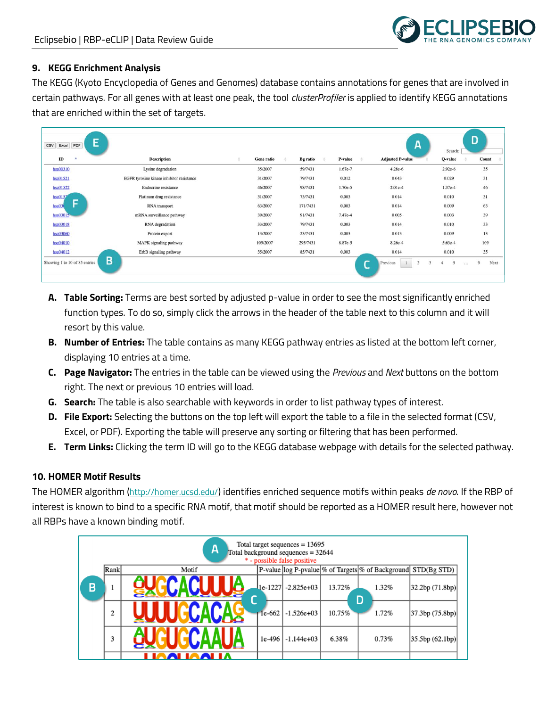## **9. KEGG Enrichment Analysis**

The KEGG (Kyoto Encyclopedia of Genes and Genomes) database contains annotations for genes that are involved in certain pathways. For all genes with at least one peak, the tool *clusterProfiler* is applied to identify KEGG annotations that are enriched within the set of targets.

| PDF<br><b>CSV</b><br>Excel    | E                                         |                   |                 |           | A                                          | Search:         | D         |
|-------------------------------|-------------------------------------------|-------------------|-----------------|-----------|--------------------------------------------|-----------------|-----------|
| ID<br>A                       | <b>Description</b>                        | <b>Gene ratio</b> | <b>Bg</b> ratio | P-value   | <b>Adjusted P-value</b>                    | Q-value         | Count     |
| hsa00310                      | Lysine degradation                        | 35/2007           | 59/7431         | 1.67e-7   | 4.28e-6                                    | $2.92e-6$       | 35        |
| hsa01521                      | EGFR tyrosine kinase inhibitor resistance | 31/2007           | 79/7431         | 0.012     | 0.043                                      | 0.029           | 31        |
| hsa01522                      | Endocrine resistance                      | 46/2007           | 98/7431         | $1.70e-5$ | $2.01e-4$                                  | $1.37e-4$       | 46        |
| hsa0152                       | Platinum drug resistance                  | 31/2007           | 73/7431         | 0.003     | 0.014                                      | 0.010           | 31        |
| н<br>hsa03                    | RNA transport                             | 63/2007           | 171/7431        | 0.003     | 0.014                                      | 0.009           | 63        |
| hsa <sub>0</sub> 3015         | mRNA surveillance pathway                 | 39/2007           | 91/7431         | 7.47e-4   | 0.005                                      | 0.003           | 39        |
| hsa03018                      | RNA degradation                           | 33/2007           | 79/7431         | 0.003     | 0.014                                      | 0.010           | 33        |
| hsa03060                      | Protein export                            | 13/2007           | 23/7431         | 0.003     | 0.013                                      | 0.009           | 13        |
| hsa04010                      | MAPK signaling pathway                    | 109/2007          | 295/7431        | 8.87e-5   | 8.26e-4                                    | $5.63e-4$       | 109       |
| hsa04012                      | ErbB signaling pathway                    | 35/2007           | 85/7431         | 0.003     | 0.014                                      | 0.010           | 35        |
| Showing 1 to 10 of 85 entries | B                                         |                   |                 |           | $\overline{2}$<br>$\mathbf{3}$<br>Previous | 5<br>$\dddotsc$ | 9<br>Next |

- **A. Table Sorting:** Terms are best sorted by adjusted p-value in order to see the most significantly enriched function types. To do so, simply click the arrows in the header of the table next to this column and it will resort by this value.
- **B. Number of Entries:** The table contains as many KEGG pathway entries as listed at the bottom left corner, displaying 10 entries at a time.
- **C. Page Navigator:** The entries in the table can be viewed using the *Previous* and *Next* buttons on the bottom right. The next or previous 10 entries will load.
- **G. Search:** The table is also searchable with keywords in order to list pathway types of interest.
- **D. File Export:** Selecting the buttons on the top left will export the table to a file in the selected format (CSV, Excel, or PDF). Exporting the table will preserve any sorting or filtering that has been performed.
- **E. Term Links:** Clicking the term ID will go to the KEGG database webpage with details for the selected pathway.

# **10. HOMER Motif Results**

The HOMER algorithm (<http://homer.ucsd.edu/>) identifies enriched sequence motifs within peaks *de novo*. If the RBP of interest is known to bind to a specific RNA motif, that motif should be reported as a HOMER result here, however not all RBPs have a known binding motif.

|   |      | A     |         | Total target sequences $= 13695$<br>Total background sequences = 32644<br>* - possible false positive |        |                                                                 |                   |  |
|---|------|-------|---------|-------------------------------------------------------------------------------------------------------|--------|-----------------------------------------------------------------|-------------------|--|
|   | Rank | Motif |         |                                                                                                       |        | P-value log P-pvalue \% of Targets \% of Background STD(Bg STD) |                   |  |
| B |      |       | 1e-1227 | $-2.825e+03$                                                                                          | 13.72% | 1.32%<br>D                                                      | 32.2bp(71.8bp)    |  |
|   | 2    |       | 1e-662  | $-1.526e+03$                                                                                          | 10.75% | 1.72%                                                           | [37.3bp (75.8bp)] |  |
|   | 3    |       | 1e-496  | $-1.144e+03$                                                                                          | 6.38%  | 0.73%                                                           | 35.5bp(62.1bp)    |  |
|   |      |       |         |                                                                                                       |        |                                                                 |                   |  |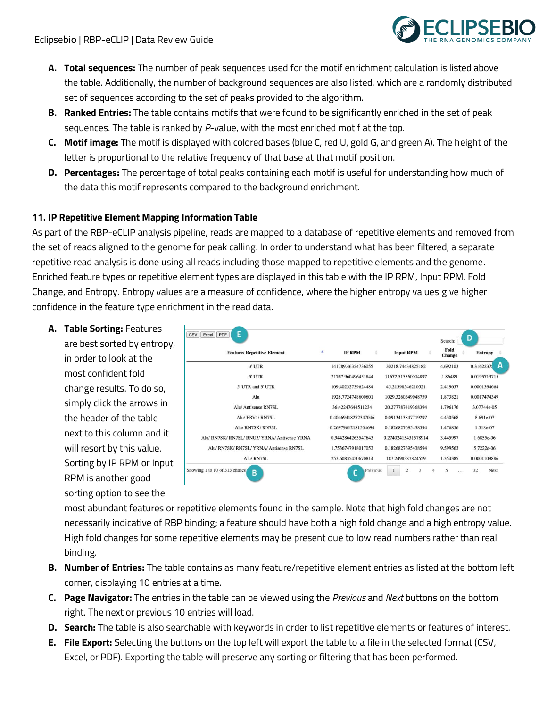

- **A. Total sequences:** The number of peak sequences used for the motif enrichment calculation is listed above the table. Additionally, the number of background sequences are also listed, which are a randomly distributed set of sequences according to the set of peaks provided to the algorithm.
- **B. Ranked Entries:** The table contains motifs that were found to be significantly enriched in the set of peak sequences. The table is ranked by *P*-value, with the most enriched motif at the top.
- **C. Motif image:** The motif is displayed with colored bases (blue C, red U, gold G, and green A). The height of the letter is proportional to the relative frequency of that base at that motif position.
- **D. Percentages:** The percentage of total peaks containing each motif is useful for understanding how much of the data this motif represents compared to the background enrichment.

## **11. IP Repetitive Element Mapping Information Table**

As part of the RBP-eCLIP analysis pipeline, reads are mapped to a database of repetitive elements and removed from the set of reads aligned to the genome for peak calling. In order to understand what has been filtered, a separate repetitive read analysis is done using all reads including those mapped to repetitive elements and the genome. Enriched feature types or repetitive element types are displayed in this table with the IP RPM, Input RPM, Fold Change, and Entropy. Entropy values are a measure of confidence, where the higher entropy values give higher confidence in the feature type enrichment in the read data.

**A. Table Sorting:** Features

are best sorted by entropy, in order to look at the most confident fold change results. To do so, simply click the arrows in the header of the table next to this column and it will resort by this value. Sorting by IP RPM or Input RPM is another good sorting option to see the

| <b>Feature/ Repetitive Element</b>            | ٠<br><b>IP RPM</b><br>÷ | <b>Input RPM</b><br>÷ | Fold<br>Change | <b>Entropy</b> |
|-----------------------------------------------|-------------------------|-----------------------|----------------|----------------|
| $3'$ UTR                                      | 141789.46324736055      | 30218.74434825182     | 4.692103       | 0.3162237      |
| 5' UTR                                        | 21767.960496451844      | 11672.515560004897    | 1.86489        | 0.0195713715   |
| 5' UTR and 3' UTR                             | 109.40232739624484      | 45.21398546210521     | 2.419657       | 0.0001394664   |
| Alu                                           | 1928.7724748600601      | 1029.3260649948759    | 1.873821       | 0.0017474349   |
| Alu/Antisense RN7SL                           | 36.42247644511234       | 20.277787419368394    | 1.796176       | 3.07744e-05    |
| Alu/ERV1/RN7SL                                | 0.40469418272347046     | 0.0913413847719297    | 4.430568       | 8.691e-07      |
| Alu/ RN7SK/ RN7SL                             | 0.26979612181564694     | 0.1826827695438594    | 1.476856       | 1.518e-07      |
| Alu/ RN7SK/ RN7SL/ RNU3/ YRNA/ Antisense YRNA | 0.9442864263547643      | 0.27402415431578914   | 3.445997       | 1.6855e-06     |
| Alu/ RN7SK/ RN7SL/ YRNA/ Antisense RN7SL      | 1.7536747918017053      | 0.1826827695438594    | 9.599563       | 5.7222e-06     |
| Alu/RN7SL                                     | 253.60835450670814      | 187.2498387824559     | 1.354385       | 0.0001109886   |

most abundant features or repetitive elements found in the sample. Note that high fold changes are not necessarily indicative of RBP binding; a feature should have both a high fold change and a high entropy value. High fold changes for some repetitive elements may be present due to low read numbers rather than real binding.

- **B. Number of Entries:** The table contains as many feature/repetitive element entries as listed at the bottom left corner, displaying 10 entries at a time.
- **C. Page Navigator:** The entries in the table can be viewed using the *Previous* and *Next* buttons on the bottom right. The next or previous 10 entries will load.
- **D. Search:** The table is also searchable with keywords in order to list repetitive elements or features of interest.
- **E. File Export:** Selecting the buttons on the top left will export the table to a file in the selected format (CSV, Excel, or PDF). Exporting the table will preserve any sorting or filtering that has been performed.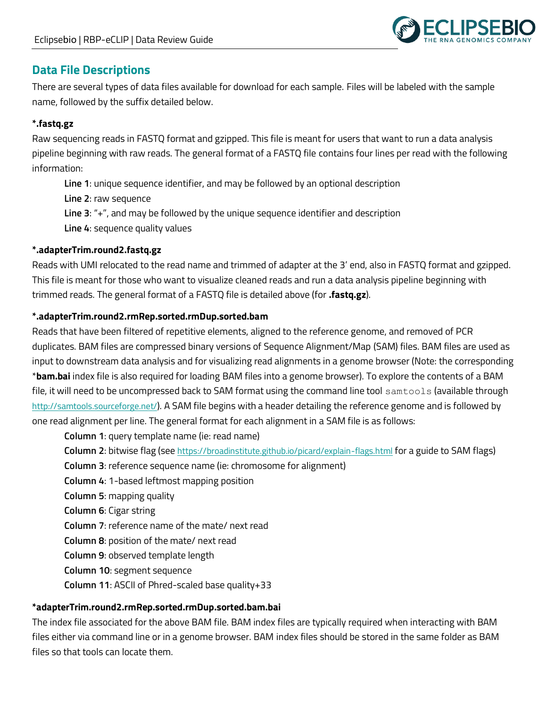

# **Data File Descriptions**

There are several types of data files available for download for each sample. Files will be labeled with the sample name, followed by the suffix detailed below.

# **\*.fastq.gz**

Raw sequencing reads in FASTQ format and gzipped. This file is meant for users that want to run a data analysis pipeline beginning with raw reads. The general format of a FASTQ file contains four lines per read with the following information:

**Line 1**: unique sequence identifier, and may be followed by an optional description

**Line 2**: raw sequence

**Line 3**: "+", and may be followed by the unique sequence identifier and description

**Line 4**: sequence quality values

# **\*.adapterTrim.round2.fastq.gz**

Reads with UMI relocated to the read name and trimmed of adapter at the 3' end, also in FASTQ format and gzipped. This file is meant for those who want to visualize cleaned reads and run a data analysis pipeline beginning with trimmed reads. The general format of a FASTQ file is detailed above (for **.fastq.gz**).

# **\*.adapterTrim.round2.rmRep.sorted.rmDup.sorted.bam**

Reads that have been filtered of repetitive elements, aligned to the reference genome, and removed of PCR duplicates. BAM files are compressed binary versions of Sequence Alignment/Map (SAM) files. BAM files are used as input to downstream data analysis and for visualizing read alignments in a genome browser (Note: the corresponding \***bam.bai** index file is also required for loading BAM files into a genome browser). To explore the contents of a BAM file, it will need to be uncompressed back to SAM format using the command line tool samtools (available through <http://samtools.sourceforge.net/>). A SAM file begins with a header detailing the reference genome and is followed by one read alignment per line. The general format for each alignment in a SAM file is as follows:

**Column 1**: query template name (ie: read name)

- **Column 2**: bitwise flag (see <https://broadinstitute.github.io/picard/explain-flags.html> for a guide to SAM flags)
- **Column 3**: reference sequence name (ie: chromosome for alignment)
- **Column 4**: 1-based leftmost mapping position
- **Column 5**: mapping quality
- **Column 6**: Cigar string
- **Column 7**: reference name of the mate/ next read
- **Column 8**: position of the mate/ next read
- **Column 9**: observed template length
- **Column 10**: segment sequence
- **Column 11**: ASCII of Phred-scaled base quality+33

# **\*adapterTrim.round2.rmRep.sorted.rmDup.sorted.bam.bai**

The index file associated for the above BAM file. BAM index files are typically required when interacting with BAM files either via command line or in a genome browser. BAM index files should be stored in the same folder as BAM files so that tools can locate them.